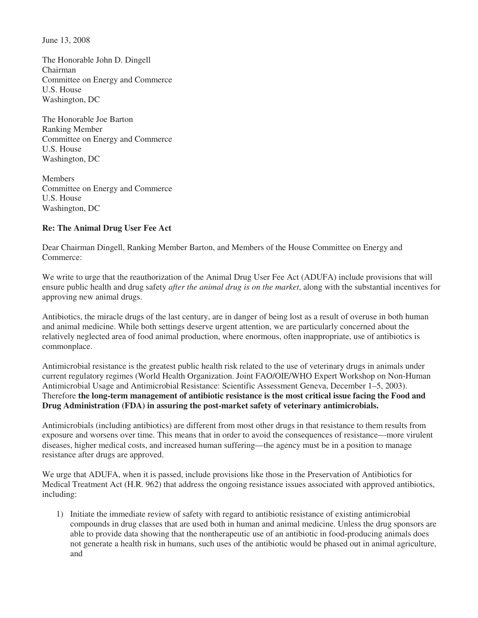June 13, 2008

The Honorable John D. Dingell Chairman Committee on Energy and Commerce U.S. House Washington, DC

The Honorable Joe Barton Ranking Member Committee on Energy and Commerce U.S. House Washington, DC

Members Committee on Energy and Commerce U.S. House Washington, DC

## **Re: The Animal Drug User Fee Act**

Dear Chairman Dingell, Ranking Member Barton, and Members of the House Committee on Energy and Commerce:

We write to urge that the reauthorization of the Animal Drug User Fee Act (ADUFA) include provisions that will ensure public health and drug safety *after the animal drug is on the market*, along with the substantial incentives for approving new animal drugs.

Antibiotics, the miracle drugs of the last century, are in danger of being lost as a result of overuse in both human and animal medicine. While both settings deserve urgent attention, we are particularly concerned about the relatively neglected area of food animal production, where enormous, often inappropriate, use of antibiotics is commonplace.

Antimicrobial resistance is the greatest public health risk related to the use of veterinary drugs in animals under current regulatory regimes (World Health Organization. Joint FAO/OIE/WHO Expert Workshop on Non-Human Antimicrobial Usage and Antimicrobial Resistance: Scientific Assessment Geneva, December 1–5, 2003). Therefore **the long-term management of antibiotic resistance is the most critical issue facing the Food and Drug Administration (FDA) in assuring the post-market safety of veterinary antimicrobials.**

Antimicrobials (including antibiotics) are different from most other drugs in that resistance to them results from exposure and worsens over time. This means that in order to avoid the consequences of resistance—more virulent diseases, higher medical costs, and increased human suffering—the agency must be in a position to manage resistance after drugs are approved.

We urge that ADUFA, when it is passed, include provisions like those in the Preservation of Antibiotics for Medical Treatment Act (H.R. 962) that address the ongoing resistance issues associated with approved antibiotics, including:

1) Initiate the immediate review of safety with regard to antibiotic resistance of existing antimicrobial compounds in drug classes that are used both in human and animal medicine. Unless the drug sponsors are able to provide data showing that the nontherapeutic use of an antibiotic in food-producing animals does not generate a health risk in humans, such uses of the antibiotic would be phased out in animal agriculture, and